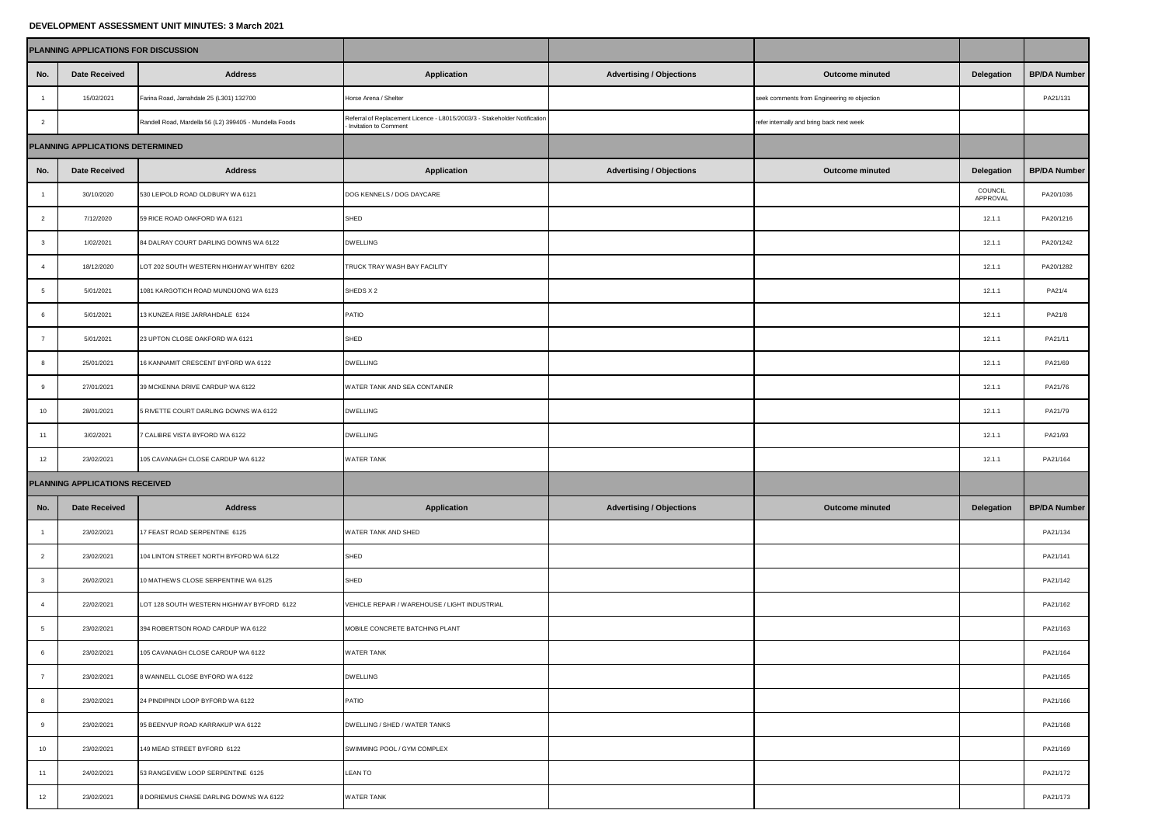## **DEVELOPMENT ASSESSMENT UNIT MINUTES: 3 March 2021**

| PLANNING APPLICATIONS FOR DISCUSSION |                      |                                                        |                                                                                                    |                                 |                                             |                     |                     |
|--------------------------------------|----------------------|--------------------------------------------------------|----------------------------------------------------------------------------------------------------|---------------------------------|---------------------------------------------|---------------------|---------------------|
| No.                                  | <b>Date Received</b> | <b>Address</b>                                         | Application                                                                                        | <b>Advertising / Objections</b> | <b>Outcome minuted</b>                      | Delegation          | <b>BP/DA Number</b> |
| $\mathbf{1}$                         | 15/02/2021           | Farina Road, Jarrahdale 25 (L301) 132700               | Horse Arena / Shelter                                                                              |                                 | seek comments from Engineering re objection |                     | PA21/131            |
| $\overline{2}$                       |                      | Randell Road, Mardella 56 (L2) 399405 - Mundella Foods | Referral of Replacement Licence - L8015/2003/3 - Stakeholder Notification<br>Invitation to Comment |                                 | refer internally and bring back next week   |                     |                     |
| PLANNING APPLICATIONS DETERMINED     |                      |                                                        |                                                                                                    |                                 |                                             |                     |                     |
| No.                                  | <b>Date Received</b> | <b>Address</b>                                         | Application                                                                                        | <b>Advertising / Objections</b> | <b>Outcome minuted</b>                      | Delegation          | <b>BP/DA Number</b> |
| $\mathbf{1}$                         | 30/10/2020           | 530 LEIPOLD ROAD OLDBURY WA 6121                       | DOG KENNELS / DOG DAYCARE                                                                          |                                 |                                             | COUNCIL<br>APPROVAL | PA20/1036           |
| $\overline{2}$                       | 7/12/2020            | 59 RICE ROAD OAKFORD WA 6121                           | SHED                                                                                               |                                 |                                             | 12.1.1              | PA20/1216           |
| $\mathbf{3}$                         | 1/02/2021            | 84 DALRAY COURT DARLING DOWNS WA 6122                  | <b>DWELLING</b>                                                                                    |                                 |                                             | 12.1.1              | PA20/1242           |
| $\overline{4}$                       | 18/12/2020           | LOT 202 SOUTH WESTERN HIGHWAY WHITBY 6202              | TRUCK TRAY WASH BAY FACILITY                                                                       |                                 |                                             | 12.1.1              | PA20/1282           |
| $\sqrt{5}$                           | 5/01/2021            | 1081 KARGOTICH ROAD MUNDIJONG WA 6123                  | SHEDS X 2                                                                                          |                                 |                                             | 12.1.1              | PA21/4              |
| 6                                    | 5/01/2021            | 13 KUNZEA RISE JARRAHDALE 6124                         | PATIO                                                                                              |                                 |                                             | 12.1.1              | PA21/8              |
| $\overline{7}$                       | 5/01/2021            | 23 UPTON CLOSE OAKFORD WA 6121                         | SHED                                                                                               |                                 |                                             | 12.1.1              | PA21/11             |
| 8                                    | 25/01/2021           | 16 KANNAMIT CRESCENT BYFORD WA 6122                    | <b>DWELLING</b>                                                                                    |                                 |                                             | 12.1.1              | PA21/69             |
| $\overline{9}$                       | 27/01/2021           | 39 MCKENNA DRIVE CARDUP WA 6122                        | WATER TANK AND SEA CONTAINER                                                                       |                                 |                                             | 12.1.1              | PA21/76             |
| 10                                   | 28/01/2021           | 5 RIVETTE COURT DARLING DOWNS WA 6122                  | <b>DWELLING</b>                                                                                    |                                 |                                             | 12.1.1              | PA21/79             |
| 11                                   | 3/02/2021            | 7 CALIBRE VISTA BYFORD WA 6122                         | <b>DWELLING</b>                                                                                    |                                 |                                             | 12.1.1              | PA21/93             |
| 12                                   | 23/02/2021           | 105 CAVANAGH CLOSE CARDUP WA 6122                      | WATER TANK                                                                                         |                                 |                                             | 12.1.1              | PA21/164            |
| PLANNING APPLICATIONS RECEIVED       |                      |                                                        |                                                                                                    |                                 |                                             |                     |                     |
| No.                                  | <b>Date Received</b> | <b>Address</b>                                         | <b>Application</b>                                                                                 | <b>Advertising / Objections</b> | <b>Outcome minuted</b>                      | Delegation          | <b>BP/DA Number</b> |
| $\overline{1}$                       | 23/02/2021           | 17 FEAST ROAD SERPENTINE 6125                          | WATER TANK AND SHED                                                                                |                                 |                                             |                     | PA21/134            |
| $\overline{2}$                       | 23/02/2021           | 104 LINTON STREET NORTH BYFORD WA 6122                 | SHED                                                                                               |                                 |                                             |                     | PA21/141            |
| $\overline{3}$                       | 26/02/2021           | 10 MATHEWS CLOSE SERPENTINE WA 6125                    | SHED                                                                                               |                                 |                                             |                     | PA21/142            |
| $\overline{4}$                       | 22/02/2021           | LOT 128 SOUTH WESTERN HIGHWAY BYFORD 6122              | VEHICLE REPAIR / WAREHOUSE / LIGHT INDUSTRIAL                                                      |                                 |                                             |                     | PA21/162            |
| $\mathbf 5$                          | 23/02/2021           | 394 ROBERTSON ROAD CARDUP WA 6122                      | MOBILE CONCRETE BATCHING PLANT                                                                     |                                 |                                             |                     | PA21/163            |
| 6                                    | 23/02/2021           | 105 CAVANAGH CLOSE CARDUP WA 6122                      | WATER TANK                                                                                         |                                 |                                             |                     | PA21/164            |
| $\overline{7}$                       | 23/02/2021           | 8 WANNELL CLOSE BYFORD WA 6122                         | <b>DWELLING</b>                                                                                    |                                 |                                             |                     | PA21/165            |
| 8                                    | 23/02/2021           | 24 PINDIPINDI LOOP BYFORD WA 6122                      | PATIO                                                                                              |                                 |                                             |                     | PA21/166            |
| 9                                    | 23/02/2021           | 95 BEENYUP ROAD KARRAKUP WA 6122                       | DWELLING / SHED / WATER TANKS                                                                      |                                 |                                             |                     | PA21/168            |
| 10                                   | 23/02/2021           | 149 MEAD STREET BYFORD 6122                            | SWIMMING POOL / GYM COMPLEX                                                                        |                                 |                                             |                     | PA21/169            |
| 11                                   | 24/02/2021           | 53 RANGEVIEW LOOP SERPENTINE 6125                      | <b>LEAN TO</b>                                                                                     |                                 |                                             |                     | PA21/172            |
| 12                                   | 23/02/2021           | 8 DORIEMUS CHASE DARLING DOWNS WA 6122                 | WATER TANK                                                                                         |                                 |                                             |                     | PA21/173            |